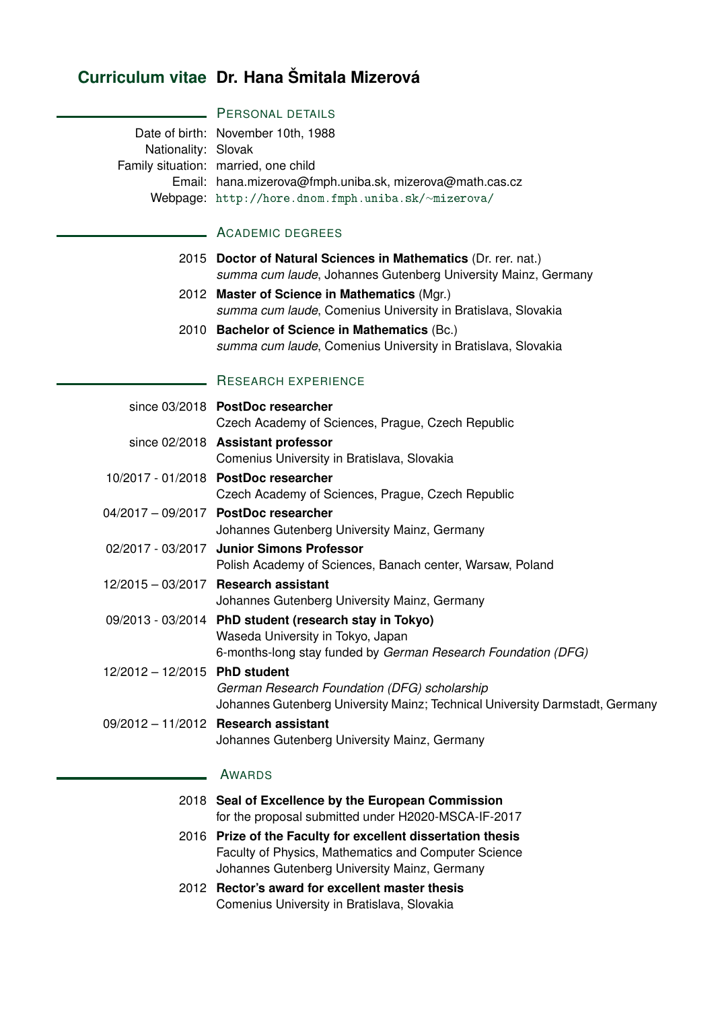# **Curriculum vitae Dr. Hana Šmitala Mizerová**

# **PERSONAL DETAILS**

Date of birth: November 10th, 1988 Nationality: Slovak Family situation: married, one child Email: hana.mizerova@fmph.uniba.sk, mizerova@math.cas.cz Webpage: [http://hore.dnom.fmph.uniba.sk/](http://hore.dnom.fmph.uniba.sk/~mizerova/)∼mizerova/

## **ACADEMIC DEGREES**

- 2015 **Doctor of Natural Sciences in Mathematics** (Dr. rer. nat.) *summa cum laude*, Johannes Gutenberg University Mainz, Germany
- 2012 **Master of Science in Mathematics** (Mgr.) *summa cum laude*, Comenius University in Bratislava, Slovakia
- 2010 **Bachelor of Science in Mathematics** (Bc.) *summa cum laude*, Comenius University in Bratislava, Slovakia

#### RESEARCH EXPERIENCE

|                               | since 03/2018 PostDoc researcher<br>Czech Academy of Sciences, Prague, Czech Republic                                                                        |
|-------------------------------|--------------------------------------------------------------------------------------------------------------------------------------------------------------|
|                               | since 02/2018 Assistant professor<br>Comenius University in Bratislava, Slovakia                                                                             |
|                               | 10/2017 - 01/2018 PostDoc researcher<br>Czech Academy of Sciences, Prague, Czech Republic                                                                    |
|                               | 04/2017 - 09/2017 PostDoc researcher<br>Johannes Gutenberg University Mainz, Germany                                                                         |
|                               | 02/2017 - 03/2017 Junior Simons Professor<br>Polish Academy of Sciences, Banach center, Warsaw, Poland                                                       |
|                               | 12/2015 - 03/2017 Research assistant<br>Johannes Gutenberg University Mainz, Germany                                                                         |
|                               | 09/2013 - 03/2014 PhD student (research stay in Tokyo)<br>Waseda University in Tokyo, Japan<br>6-months-long stay funded by German Research Foundation (DFG) |
| 12/2012 - 12/2015 PhD student | German Research Foundation (DFG) scholarship<br>Johannes Gutenberg University Mainz; Technical University Darmstadt, Germany                                 |
|                               | 09/2012 - 11/2012 Research assistant<br>Johannes Gutenberg University Mainz, Germany                                                                         |
|                               | AWARDS                                                                                                                                                       |

# 2018 **Seal of Excellence by the European Commission**

- for the proposal submitted under H2020-MSCA-IF-2017
- 2016 **Prize of the Faculty for excellent dissertation thesis** Faculty of Physics, Mathematics and Computer Science Johannes Gutenberg University Mainz, Germany
- 2012 **Rector's award for excellent master thesis** Comenius University in Bratislava, Slovakia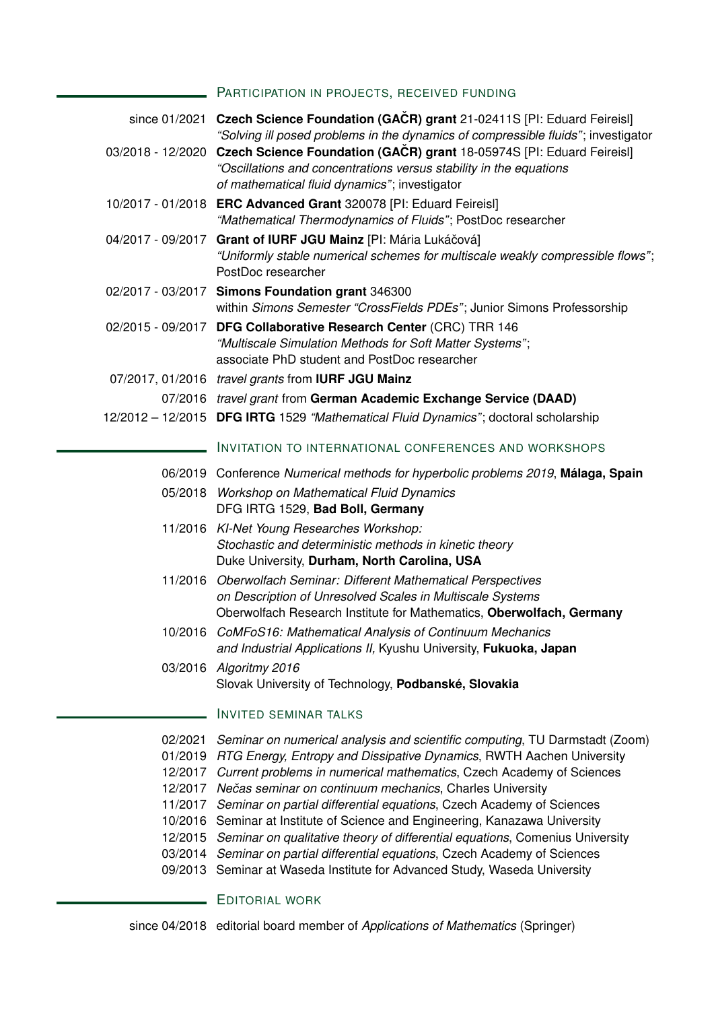#### PARTICIPATION IN PROJECTS, RECEIVED FUNDING

|                                                     | since 01/2021 Czech Science Foundation (GACR) grant 21-02411S [PI: Eduard Feireisl]<br>"Solving ill posed problems in the dynamics of compressible fluids"; investigator                                                                                                                                                                                        |
|-----------------------------------------------------|-----------------------------------------------------------------------------------------------------------------------------------------------------------------------------------------------------------------------------------------------------------------------------------------------------------------------------------------------------------------|
|                                                     | 03/2018 - 12/2020 Czech Science Foundation (GAČR) grant 18-05974S [PI: Eduard Feireisl]<br>"Oscillations and concentrations versus stability in the equations<br>of mathematical fluid dynamics"; investigator                                                                                                                                                  |
|                                                     | 10/2017 - 01/2018 ERC Advanced Grant 320078 [PI: Eduard Feireisl]<br>"Mathematical Thermodynamics of Fluids"; PostDoc researcher                                                                                                                                                                                                                                |
| 04/2017 - 09/2017                                   | Grant of IURF JGU Mainz [PI: Mária Lukáčová]<br>"Uniformly stable numerical schemes for multiscale weakly compressible flows";<br>PostDoc researcher                                                                                                                                                                                                            |
|                                                     | 02/2017 - 03/2017 Simons Foundation grant 346300<br>within Simons Semester "CrossFields PDEs"; Junior Simons Professorship                                                                                                                                                                                                                                      |
|                                                     | 02/2015 - 09/2017 DFG Collaborative Research Center (CRC) TRR 146<br>"Multiscale Simulation Methods for Soft Matter Systems";<br>associate PhD student and PostDoc researcher                                                                                                                                                                                   |
|                                                     | 07/2017, 01/2016 travel grants from <b>IURF JGU Mainz</b>                                                                                                                                                                                                                                                                                                       |
|                                                     | 07/2016 travel grant from German Academic Exchange Service (DAAD)                                                                                                                                                                                                                                                                                               |
|                                                     | 12/2012 - 12/2015 DFG IRTG 1529 "Mathematical Fluid Dynamics"; doctoral scholarship                                                                                                                                                                                                                                                                             |
|                                                     | <b>INVITATION TO INTERNATIONAL CONFERENCES AND WORKSHOPS</b>                                                                                                                                                                                                                                                                                                    |
|                                                     | 06/2019 Conference Numerical methods for hyperbolic problems 2019, Málaga, Spain                                                                                                                                                                                                                                                                                |
|                                                     | 05/2018 Workshop on Mathematical Fluid Dynamics<br>DFG IRTG 1529, Bad Boll, Germany                                                                                                                                                                                                                                                                             |
|                                                     | 11/2016 KI-Net Young Researches Workshop:<br>Stochastic and deterministic methods in kinetic theory<br>Duke University, Durham, North Carolina, USA                                                                                                                                                                                                             |
|                                                     | 11/2016 Oberwolfach Seminar: Different Mathematical Perspectives<br>on Description of Unresolved Scales in Multiscale Systems<br>Oberwolfach Research Institute for Mathematics, Oberwolfach, Germany                                                                                                                                                           |
|                                                     | 10/2016 CoMFoS16: Mathematical Analysis of Continuum Mechanics<br>and Industrial Applications II, Kyushu University, Fukuoka, Japan                                                                                                                                                                                                                             |
|                                                     | 03/2016 Algoritmy 2016<br>Slovak University of Technology, Podbanské, Slovakia                                                                                                                                                                                                                                                                                  |
|                                                     | <b>INVITED SEMINAR TALKS</b>                                                                                                                                                                                                                                                                                                                                    |
| 02/2021<br>01/2019<br>12/2017<br>12/2017<br>11/2017 | Seminar on numerical analysis and scientific computing, TU Darmstadt (Zoom)<br>RTG Energy, Entropy and Dissipative Dynamics, RWTH Aachen University<br>Current problems in numerical mathematics, Czech Academy of Sciences<br>Nečas seminar on continuum mechanics, Charles University<br>Seminar on partial differential equations, Czech Academy of Sciences |
|                                                     |                                                                                                                                                                                                                                                                                                                                                                 |

- 10/2016 Seminar at Institute of Science and Engineering, Kanazawa University
- 12/2015 *Seminar on qualitative theory of differential equations*, Comenius University
- 03/2014 *Seminar on partial differential equations*, Czech Academy of Sciences
- 09/2013 Seminar at Waseda Institute for Advanced Study, Waseda University

# **EDITORIAL WORK**

since 04/2018 editorial board member of *Applications of Mathematics* (Springer)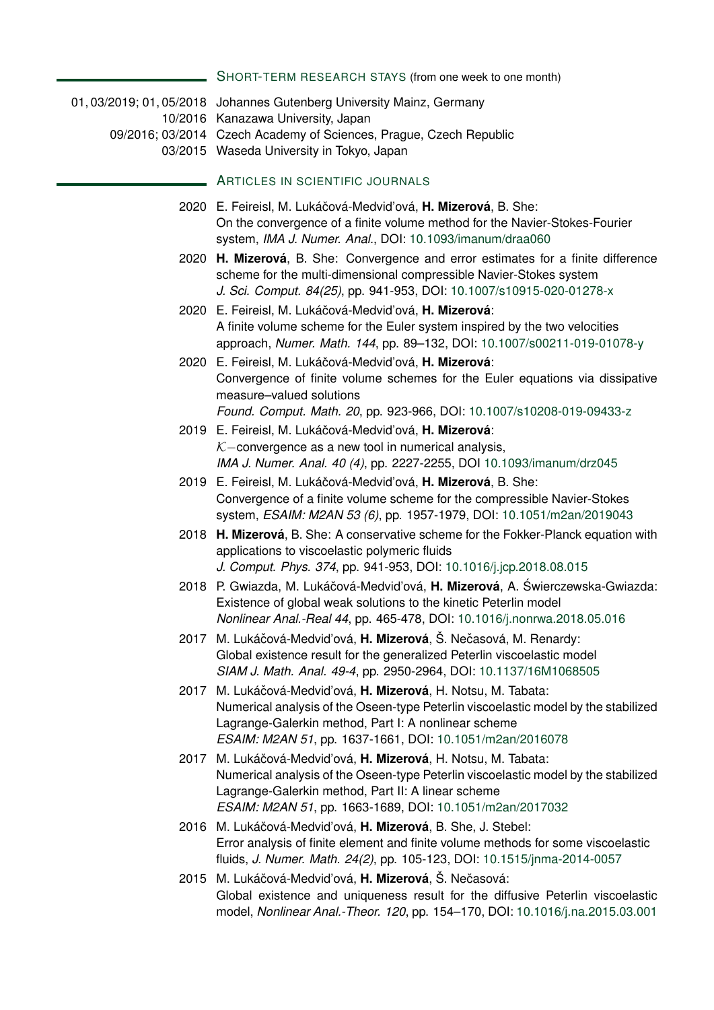| SHORT-TERM RESEARCH STAYS (from one week to one month) |  |
|--------------------------------------------------------|--|
|--------------------------------------------------------|--|

Ē.

| 01, 03/2019; 01, 05/2018 Johannes Gutenberg University Mainz, Germany<br>10/2016 Kanazawa University, Japan                                                                                                                                                             |
|-------------------------------------------------------------------------------------------------------------------------------------------------------------------------------------------------------------------------------------------------------------------------|
| 09/2016; 03/2014 Czech Academy of Sciences, Prague, Czech Republic<br>03/2015 Waseda University in Tokyo, Japan                                                                                                                                                         |
| ARTICLES IN SCIENTIFIC JOURNALS                                                                                                                                                                                                                                         |
| 2020 E. Feireisl, M. Lukáčová-Medvid'ová, H. Mizerová, B. She:<br>On the convergence of a finite volume method for the Navier-Stokes-Fourier<br>system, IMA J. Numer. Anal., DOI: 10.1093/imanum/draa060                                                                |
| 2020 H. Mizerová, B. She: Convergence and error estimates for a finite difference<br>scheme for the multi-dimensional compressible Navier-Stokes system<br>J. Sci. Comput. 84(25), pp. 941-953, DOI: 10.1007/s10915-020-01278-x                                         |
| 2020 E. Feireisl, M. Lukáčová-Medvid'ová, H. Mizerová:<br>A finite volume scheme for the Euler system inspired by the two velocities<br>approach, Numer. Math. 144, pp. 89-132, DOI: 10.1007/s00211-019-01078-y                                                         |
| 2020 E. Feireisl, M. Lukáčová-Medvid'ová, H. Mizerová:<br>Convergence of finite volume schemes for the Euler equations via dissipative<br>measure-valued solutions<br>Found. Comput. Math. 20, pp. 923-966, DOI: 10.1007/s10208-019-09433-z                             |
| 2019 E. Feireisl, M. Lukáčová-Medvid'ová, H. Mizerová:<br>$K$ -convergence as a new tool in numerical analysis,<br>IMA J. Numer. Anal. 40 (4), pp. 2227-2255, DOI 10.1093/imanum/drz045                                                                                 |
| 2019 E. Feireisl, M. Lukáčová-Medvid'ová, H. Mizerová, B. She:<br>Convergence of a finite volume scheme for the compressible Navier-Stokes<br>system, ESAIM: M2AN 53 (6), pp. 1957-1979, DOI: 10.1051/m2an/2019043                                                      |
| 2018 H. Mizerová, B. She: A conservative scheme for the Fokker-Planck equation with<br>applications to viscoelastic polymeric fluids<br>J. Comput. Phys. 374, pp. 941-953, DOI: 10.1016/j.jcp.2018.08.015                                                               |
| 2018 P. Gwiazda, M. Lukáčová-Medviďová, H. Mizerová, A. Świerczewska-Gwiazda:<br>Existence of global weak solutions to the kinetic Peterlin model<br>Nonlinear Anal.-Real 44, pp. 465-478, DOI: 10.1016/j.nonrwa.2018.05.016                                            |
| 2017 M. Lukáčová-Medviďová, H. Mizerová, Š. Nečasová, M. Renardy:<br>Global existence result for the generalized Peterlin viscoelastic model<br>SIAM J. Math. Anal. 49-4, pp. 2950-2964, DOI: 10.1137/16M1068505                                                        |
| 2017 M. Lukáčová-Medviďová, H. Mizerová, H. Notsu, M. Tabata:<br>Numerical analysis of the Oseen-type Peterlin viscoelastic model by the stabilized<br>Lagrange-Galerkin method, Part I: A nonlinear scheme<br>ESAIM: M2AN 51, pp. 1637-1661, DOI: 10.1051/m2an/2016078 |
| 2017 M. Lukáčová-Medviďová, H. Mizerová, H. Notsu, M. Tabata:<br>Numerical analysis of the Oseen-type Peterlin viscoelastic model by the stabilized<br>Lagrange-Galerkin method, Part II: A linear scheme<br>ESAIM: M2AN 51, pp. 1663-1689, DOI: 10.1051/m2an/2017032   |
| 2016 M. Lukáčová-Medviďová, H. Mizerová, B. She, J. Stebel:<br>Error analysis of finite element and finite volume methods for some viscoelastic<br>fluids, J. Numer. Math. 24(2), pp. 105-123, DOI: 10.1515/jnma-2014-0057                                              |
| 2015 M. Lukáčová-Medviďová, H. Mizerová, Š. Nečasová:<br>Global existence and uniqueness result for the diffusive Peterlin viscoelastic                                                                                                                                 |

model, *Nonlinear Anal.-Theor. 120*, pp. 154–170, DOI: [10.1016/j.na.2015.03.001](https://doi.org/10.1016/j.na.2015.03.001)